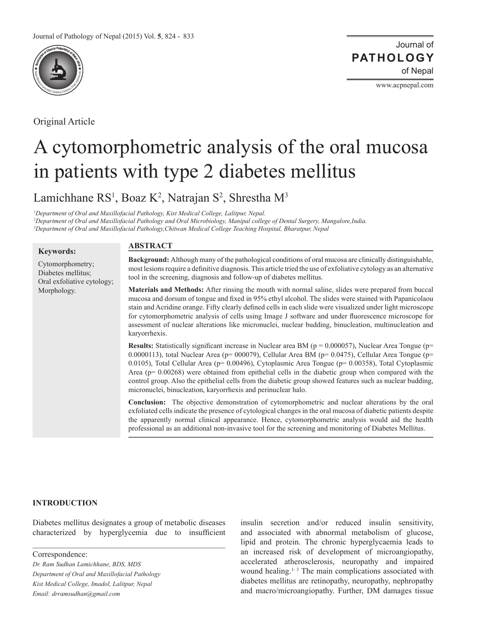

Original Article

Journal of of Nepal **PATHOLOGY**

www.acpnepal.com

# A cytomorphometric analysis of the oral mucosa in patients with type 2 diabetes mellitus

Lamichhane RS<sup>1</sup>, Boaz K<sup>2</sup>, Natrajan S<sup>2</sup>, Shrestha M<sup>3</sup>

*<sup>1</sup>Department of Oral and Maxillofacial Pathology, Kist Medical College, Lalitpur, Nepal. <sup>2</sup>Department of Oral and Maxillofacial Pathology and Oral Microbiology, Manipal college of Dental Surgery, Mangalore,India. <sup>3</sup>Department of Oral and Maxillofacial Pathology,Chitwan Medical College Teaching Hospital, Bharatpur, Nepal* 

## **Keywords:**

Cytomorphometry; Diabetes mellitus; Oral exfoliative cytology; Morphology.

# **ABSTRACT**

**Background:** Although many of the pathological conditions of oral mucosa are clinically distinguishable, most lesions require a deinitive diagnosis. This article tried the use of exfoliative cytology as an alternative tool in the screening, diagnosis and follow-up of diabetes mellitus.

**Materials and Methods:** After rinsing the mouth with normal saline, slides were prepared from buccal mucosa and dorsum of tongue and ixed in 95% ethyl alcohol. The slides were stained with Papanicolaou stain and Acridine orange. Fifty clearly defined cells in each slide were visualized under light microscope for cytomorphometric analysis of cells using Image J software and under fluorescence microscope for assessment of nuclear alterations like micronuclei, nuclear budding, binucleation, multinucleation and karyorrhexis.

**Results:** Statistically significant increase in Nuclear area BM (p = 0.000057), Nuclear Area Tongue (p= 0.0000113), total Nuclear Area ( $p= 000079$ ), Cellular Area BM ( $p= 0.0475$ ), Cellular Area Tongue ( $p=$ 0.0105), Total Cellular Area (p= 0.00496), Cytoplasmic Area Tongue (p= 0.00358), Total Cytoplasmic Area (p= 0.00268) were obtained from epithelial cells in the diabetic group when compared with the control group. Also the epithelial cells from the diabetic group showed features such as nuclear budding, micronuclei, binucleation, karyorrhexis and perinuclear halo.

**Conclusion:** The objective demonstration of cytomorphometric and nuclear alterations by the oral exfoliated cells indicate the presence of cytological changes in the oral mucosa of diabetic patients despite the apparently normal clinical appearance. Hence, cytomorphometric analysis would aid the health professional as an additional non-invasive tool for the screening and monitoring of Diabetes Mellitus.

# **INTRODUCTION**

Diabetes mellitus designates a group of metabolic diseases characterized by hyperglycemia due to insuficient insulin secretion and/or reduced insulin sensitivity, and associated with abnormal metabolism of glucose, lipid and protein. The chronic hyperglycaemia leads to an increased risk of development of microangiopathy, accelerated atherosclerosis, neuropathy and impaired wound healing.<sup>1-3</sup> The main complications associated with diabetes mellitus are retinopathy, neuropathy, nephropathy and macro/microangiopathy. Further, DM damages tissue

Correspondence:

*Dr. Ram Sudhan Lamichhane, BDS, MDS Department of Oral and Maxillofacial Pathology Kist Medical College, Imadol, Lalitpur, Nepal Email: drramsudhan@gmail.com*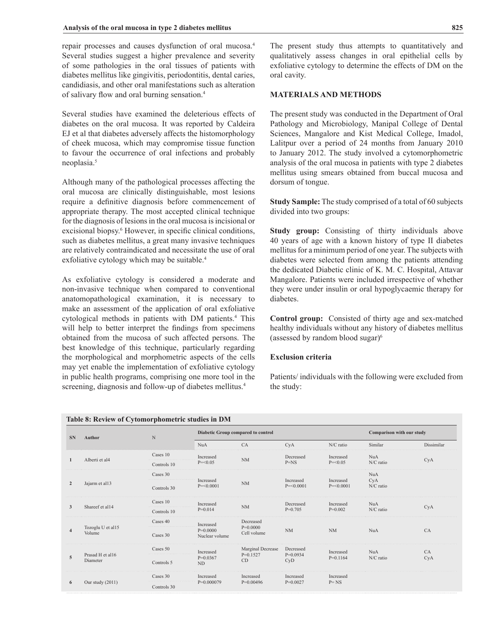repair processes and causes dysfunction of oral mucosa.<sup>4</sup> Several studies suggest a higher prevalence and severity of some pathologies in the oral tissues of patients with diabetes mellitus like gingivitis, periodontitis, dental caries, candidiasis, and other oral manifestations such as alteration of salivary flow and oral burning sensation.<sup>4</sup>

Several studies have examined the deleterious effects of diabetes on the oral mucosa. It was reported by Caldeira EJ et al that diabetes adversely affects the histomorphology of cheek mucosa, which may compromise tissue function to favour the occurrence of oral infections and probably neoplasia.<sup>5</sup>

Although many of the pathological processes affecting the oral mucosa are clinically distinguishable, most lesions require a definitive diagnosis before commencement of appropriate therapy. The most accepted clinical technique for the diagnosis of lesions in the oral mucosa is incisional or excisional biopsy.<sup>6</sup> However, in specific clinical conditions, such as diabetes mellitus, a great many invasive techniques are relatively contraindicated and necessitate the use of oral exfoliative cytology which may be suitable.<sup>4</sup>

As exfoliative cytology is considered a moderate and non-invasive technique when compared to conventional anatomopathological examination, it is necessary to make an assessment of the application of oral exfoliative cytological methods in patients with DM patients.<sup>4</sup> This will help to better interpret the findings from specimens obtained from the mucosa of such affected persons. The best knowledge of this technique, particularly regarding the morphological and morphometric aspects of the cells may yet enable the implementation of exfoliative cytology in public health programs, comprising one more tool in the screening, diagnosis and follow-up of diabetes mellitus.<sup>4</sup>

## **MATERIALS AND METHODS**

The present study was conducted in the Department of Oral Pathology and Microbiology, Manipal College of Dental Sciences, Mangalore and Kist Medical College, Imadol, Lalitpur over a period of 24 months from January 2010 to January 2012. The study involved a cytomorphometric analysis of the oral mucosa in patients with type 2 diabetes mellitus using smears obtained from buccal mucosa and dorsum of tongue.

**Study Sample:** The study comprised of a total of 60 subjects divided into two groups:

**Study group:** Consisting of thirty individuals above 40 years of age with a known history of type II diabetes mellitus for a minimum period of one year. The subjects with diabetes were selected from among the patients attending the dedicated Diabetic clinic of K. M. C. Hospital, Attavar Mangalore. Patients were included irrespective of whether they were under insulin or oral hypoglycaemic therapy for diabetes.

**Control group:** Consisted of thirty age and sex-matched healthy individuals without any history of diabetes mellitus (assessed by random blood sugar) $6$ 

## **Exclusion criteria**

Patients/ individuals with the following were excluded from the study:

| <b>SN</b>           | Author                       | N           |                              | Diabetic Group compared to control |                           |                           |                  | Comparison with our study |  |
|---------------------|------------------------------|-------------|------------------------------|------------------------------------|---------------------------|---------------------------|------------------|---------------------------|--|
|                     |                              |             | <b>NuA</b>                   | CA                                 | CyA                       | N/C ratio                 | Similar          | Dissimilar                |  |
|                     | Alberti et al4               | Cases 10    | Increased                    | NM                                 | Decreased                 | Increased                 | <b>NuA</b>       |                           |  |
|                     |                              | Controls 10 | $P = 0.05$                   |                                    | $P = NS$                  | $P = 0.05$                | N/C ratio        | CyA                       |  |
|                     |                              | Cases 30    |                              |                                    |                           |                           | <b>NuA</b>       |                           |  |
| $\overline{2}$      | Jajarm et al13               | Controls 30 | Increased<br>$P = 0.0001$    | <b>NM</b>                          | Increased<br>$P = 0.0001$ | Increased<br>$P = 0.0001$ | CyA<br>N/C ratio |                           |  |
|                     | Shareef et al14              | Cases 10    | Increased                    | <b>NM</b>                          | Decreased                 | Increased                 | <b>NuA</b>       |                           |  |
| 3                   |                              | Controls 10 | $P=0.014$                    |                                    | $P=0.705$                 | $P=0.002$                 | N/C ratio        | CyA                       |  |
|                     |                              | Cases 40    | Increased                    | Decreased                          |                           |                           |                  |                           |  |
| $\overline{\bf{4}}$ | Tozoglu U et al15<br>Volume  | Cases 30    | $P=0.0000$<br>Nuclear volume | $P=0.0000$<br>Cell volume          | <b>NM</b>                 | <b>NM</b>                 | <b>NuA</b>       | CA                        |  |
|                     |                              | Cases 50    | Increased                    | Marginal Decrease                  | Decreased                 | Increased                 | <b>NuA</b>       | CA                        |  |
| 5                   | Prasad H et al16<br>Diameter | Controls 5  | $P=0.0367$<br>ND             | $P=0.1527$<br>CD                   | $P=0.0934$<br>CyD         | $P=0.1164$                | $N/C$ ratio      | CyA                       |  |
| 6                   |                              | Cases 30    | Increased                    | Increased                          | Increased                 | Increased                 |                  |                           |  |
|                     | Our study (2011)             | Controls 30 | $P=0.000079$                 | $P=0.00496$                        | $P=0.0027$                | $P = NS$                  |                  |                           |  |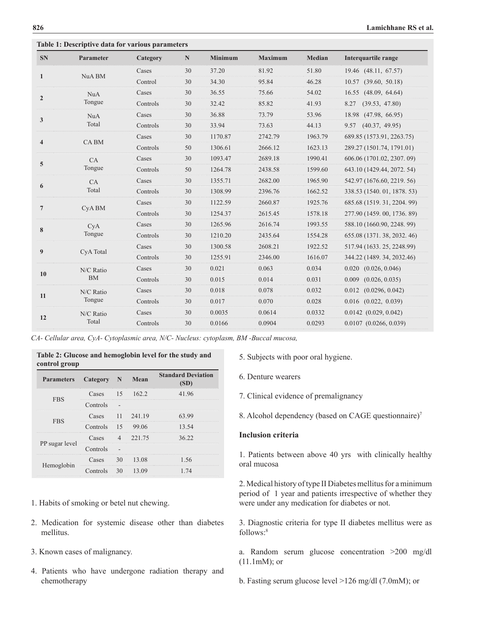**Table 1: Descriptive data for various parameters** 

| <b>SN</b>               | Parameter         | Category | $\mathbb N$ | <b>Minimum</b> | <b>Maximum</b> | <b>Median</b> | Interquartile range         |
|-------------------------|-------------------|----------|-------------|----------------|----------------|---------------|-----------------------------|
|                         | NuA BM            | Cases    | 30          | 37.20          | 81.92          | 51.80         | 19.46 (48.11, 67.57)        |
| $\mathbf{1}$            |                   | Control  | 30          | 34.30          | 95.84          | 46.28         | (39.60, 50.18)<br>10.57     |
|                         | NuA<br>Tongue     | Cases    | 30          | 36.55          | 75.66          | 54.02         | (48.09, 64.64)<br>16.55     |
| $\overline{2}$          |                   | Controls | 30          | 32.42          | 85.82          | 41.93         | 8.27<br>(39.53, 47.80)      |
|                         | <b>NuA</b>        | Cases    | 30          | 36.88          | 73.79          | 53.96         | (47.98, 66.95)<br>18.98     |
| 3                       | Total             | Controls | 30          | 33.94          | 73.63          | 44.13         | (40.37, 49.95)<br>9.57      |
| $\overline{\mathbf{4}}$ |                   | Cases    | 30          | 1170.87        | 2742.79        | 1963.79       | 689.85 (1573.91, 2263.75)   |
|                         | <b>CABM</b>       | Controls | 50          | 1306.61        | 2666.12        | 1623.13       | 289.27 (1501.74, 1791.01)   |
| 5                       | CA<br>Tongue      | Cases    | 30          | 1093.47        | 2689.18        | 1990.41       | 606.06 (1701.02, 2307, 09)  |
|                         |                   | Controls | 50          | 1264.78        | 2438.58        | 1599.60       | 643.10 (1429.44, 2072. 54)  |
| 6                       | CA<br>Total       | Cases    | 30          | 1355.71        | 2682.00        | 1965.90       | 542.97 (1676.60, 2219, 56)  |
|                         |                   | Controls | 30          | 1308.99        | 2396.76        | 1662.52       | 338.53 (1540. 01, 1878. 53) |
|                         | CyA <sub>BM</sub> | Cases    | 30          | 1122.59        | 2660.87        | 1925.76       | 685.68 (1519, 31, 2204, 99) |
| $\overline{7}$          |                   | Controls | 30          | 1254.37        | 2615.45        | 1578.18       | 277.90 (1459, 00, 1736, 89) |
|                         | CyA               | Cases    | 30          | 1265.96        | 2616.74        | 1993.55       | 588.10 (1660.90, 2248. 99)  |
| 8                       | Tongue            | Controls | 30          | 1210.20        | 2435.64        | 1554.28       | 655.08 (1371, 38, 2032, 46) |
|                         |                   | Cases    | 30          | 1300.58        | 2608.21        | 1922.52       | 517.94 (1633. 25, 2248.99)  |
| 9                       | CyA Total         | Controls | 30          | 1255.91        | 2346.00        | 1616.07       | 344.22 (1489. 34, 2032.46)  |
|                         | N/C Ratio         | Cases    | 30          | 0.021          | 0.063          | 0.034         | 0.020<br>(0.026, 0.046)     |
| 10                      | <b>BM</b>         | Controls | 30          | 0.015          | 0.014          | 0.031         | 0.009<br>(0.026, 0.035)     |
|                         | N/C Ratio         | Cases    | 30          | 0.018          | 0.078          | 0.032         | (0.0296, 0.042)<br>0.012    |
| 11                      | Tongue            | Controls | 30          | 0.017          | 0.070          | 0.028         | (0.022, 0.039)<br>0.016     |
|                         | N/C Ratio         | Cases    | 30          | 0.0035         | 0.0614         | 0.0332        | $0.0142$ $(0.029, 0.042)$   |
| 12                      | Total             | Controls | 30          | 0.0166         | 0.0904         | 0.0293        | $0.0107$ $(0.0266, 0.039)$  |
|                         |                   |          |             |                |                |               |                             |

*CA- Cellular area, CyA- Cytoplasmic area, N/C- Nucleus: cytoplasm, BM -Buccal mucosa,* 

| Table 2: Glucose and hemoglobin level for the study and<br>control group |                     |  |           |                           |  |  |  |
|--------------------------------------------------------------------------|---------------------|--|-----------|---------------------------|--|--|--|
| Parameters Category N Mean                                               |                     |  |           | <b>Standard Deviation</b> |  |  |  |
|                                                                          | Cases 15 162.2      |  |           | 41.96                     |  |  |  |
| <b>FBS</b>                                                               | Controls            |  |           |                           |  |  |  |
|                                                                          | Cases               |  | 11 241.19 | 63 99                     |  |  |  |
| <b>FBS</b>                                                               | Controls $15$ 99.06 |  |           | 13.54                     |  |  |  |
|                                                                          | Cases 4 221.75      |  |           | 36.22                     |  |  |  |
| PP sugar level                                                           | Controls            |  |           |                           |  |  |  |
|                                                                          | $\text{Case}$       |  | 30 13.08  | 1.56                      |  |  |  |
| Hemoglobin                                                               | Controls 30 13.09   |  |           |                           |  |  |  |

- 1. Habits of smoking or betel nut chewing.
- 2. Medication for systemic disease other than diabetes mellitus.
- 3. Known cases of malignancy.
- 4. Patients who have undergone radiation therapy and chemotherapy

5. Subjects with poor oral hygiene.

6. Denture wearers

7. Clinical evidence of premalignancy

8. Alcohol dependency (based on CAGE questionnaire)<sup>7</sup>

## **Inclusion criteria**

1. Patients between above 40 yrs with clinically healthy oral mucosa

2. Medical history of type II Diabetes mellitus for a minimum period of 1 year and patients irrespective of whether they were under any medication for diabetes or not.

3. Diagnostic criteria for type II diabetes mellitus were as follows:<sup>8</sup>

a. Random serum glucose concentration >200 mg/dl (11.1mM); or

b. Fasting serum glucose level >126 mg/dl (7.0mM); or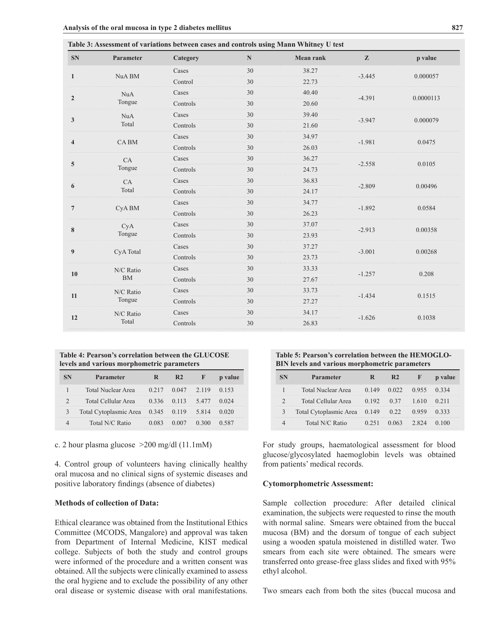| <b>SN</b>               | Parameter   | Category | $\mathbb N$ | <b>Mean rank</b> | $\mathbf{z}$ | p value   |
|-------------------------|-------------|----------|-------------|------------------|--------------|-----------|
| $\mathbf{1}$            | NuA BM      | Cases    | 30          | 38.27            | $-3.445$     | 0.000057  |
|                         |             | Control  | 30          | 22.73            |              |           |
| $\overline{2}$          | <b>NuA</b>  | Cases    | 30          | 40.40            | $-4.391$     | 0.0000113 |
|                         | Tongue      | Controls | 30          | 20.60            |              |           |
| $\mathbf{3}$            | <b>NuA</b>  | Cases    | 30          | 39.40            | $-3.947$     | 0.000079  |
|                         | Total       | Controls | 30          | 21.60            |              |           |
| $\overline{\mathbf{4}}$ |             | Cases    | 30          | 34.97            | $-1.981$     | 0.0475    |
|                         | <b>CABM</b> | Controls | 30          | 26.03            |              |           |
| 5                       | CA          | Cases    | 30          | 36.27            | $-2.558$     | 0.0105    |
|                         | Tongue      | Controls | 30          | 24.73            |              |           |
| 6                       | CA          | Cases    | 30          | 36.83            | $-2.809$     | 0.00496   |
|                         | Total       | Controls | 30          | 24.17            |              |           |
| $\overline{7}$          | CyA BM      | Cases    | 30          | 34.77            | $-1.892$     | 0.0584    |
|                         |             | Controls | 30          | 26.23            |              |           |
| 8                       | CyA         | Cases    | 30          | 37.07            | $-2.913$     | 0.00358   |
|                         | Tongue      | Controls | 30          | 23.93            |              |           |
| 9                       | CyA Total   | Cases    | 30          | 37.27            | $-3.001$     | 0.00268   |
|                         |             | Controls | 30          | 23.73            |              |           |
| 10                      | N/C Ratio   | Cases    | 30          | 33.33            | $-1.257$     | 0.208     |
|                         | <b>BM</b>   | Controls | 30          | 27.67            |              |           |
| 11                      | N/C Ratio   | Cases    | 30          | 33.73            |              |           |
|                         | Tongue      | Controls | 30          | 27.27            | $-1.434$     | 0.1515    |
|                         | N/C Ratio   | Cases    | 30          | 34.17            |              |           |
| 12                      | Total       | Controls | 30          | 26.83            | $-1.626$     | 0.1038    |

**Table 3: Assessment of variations between cases and controls using Mann Whitney U test** 

**Table 4: Pearson's correlation between the GLUCOSE levels and various morphometric parameters**

| Parameter                          |       |      |             |  |
|------------------------------------|-------|------|-------------|--|
| Total Nuclear Area                 | 0.217 |      | 0.047 2.119 |  |
| Total Cellular Area                |       | 0113 | 5477        |  |
| Total Cytoplasmic Area 0.345 0.119 |       |      | 5.814       |  |
| Total N/C Ratio                    |       |      |             |  |

c. 2 hour plasma glucose >200 mg/dl (11.1mM)

4. Control group of volunteers having clinically healthy oral mucosa and no clinical signs of systemic diseases and positive laboratory indings (absence of diabetes)

# **Methods of collection of Data:**

Ethical clearance was obtained from the Institutional Ethics Committee (MCODS, Mangalore) and approval was taken from Department of Internal Medicine, KIST medical college. Subjects of both the study and control groups were informed of the procedure and a written consent was obtained. All the subjects were clinically examined to assess the oral hygiene and to exclude the possibility of any other oral disease or systemic disease with oral manifestations.

**Table 5: Pearson's correlation between the HEMOGLO-BIN levels and various morphometric parameters** 

| Parameter                    |  |  |
|------------------------------|--|--|
| <b>Total Nuclear Area</b>    |  |  |
| Total Cellular Area          |  |  |
| Total Cytoplasmic Area 0.149 |  |  |
| Total N/C Ratio              |  |  |

For study groups, haematological assessment for blood glucose/glycosylated haemoglobin levels was obtained from patients' medical records.

#### **Cytomorphometric Assessment:**

Sample collection procedure: After detailed clinical examination, the subjects were requested to rinse the mouth with normal saline. Smears were obtained from the buccal mucosa (BM) and the dorsum of tongue of each subject using a wooden spatula moistened in distilled water. Two smears from each site were obtained. The smears were transferred onto grease-free glass slides and fixed with 95% ethyl alcohol.

Two smears each from both the sites (buccal mucosa and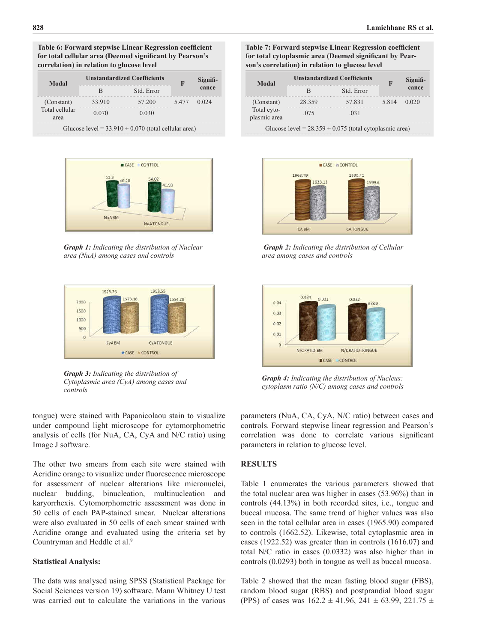#### **Table 6: Forward stepwise Linear Regression coeficient for total cellular area (Deemed signiicant by Pearson's correlation) in relation to glucose level**

| Modal                  |                  | <b>Unstandardized Coefficients</b>                     |      | Signifi- |
|------------------------|------------------|--------------------------------------------------------|------|----------|
|                        |                  | Std. Error                                             |      | cance    |
| (Constant)             | 57 200<br>33.910 |                                                        | 5477 |          |
| Total cellular<br>area |                  |                                                        |      |          |
|                        |                  | Glucose level = $33.910 + 0.070$ (total cellular area) |      |          |



*Graph 1: Indicating the distribution of Nuclear area (NuA) among cases and controls*



*Graph 3: Indicating the distribution of Cytoplasmic area (CyA) among cases and controls*

tongue) were stained with Papanicolaou stain to visualize under compound light microscope for cytomorphometric analysis of cells (for NuA, CA, CyA and N/C ratio) using Image J software.

The other two smears from each site were stained with Acridine orange to visualize under fluorescence microscope for assessment of nuclear alterations like micronuclei, nuclear budding, binucleation, multinucleation and karyorrhexis. Cytomorphometric assessment was done in 50 cells of each PAP-stained smear. Nuclear alterations were also evaluated in 50 cells of each smear stained with Acridine orange and evaluated using the criteria set by Countryman and Heddle et al.<sup>9</sup>

## **Statistical Analysis:**

The data was analysed using SPSS (Statistical Package for Social Sciences version 19) software. Mann Whitney U test was carried out to calculate the variations in the various

**Table 7: Forward stepwise Linear Regression coeficient for total cytoplasmic area (Deemed signiicant by Pearson's correlation) in relation to glucose level**

| Modal                      |        | <b>Unstandardized Coefficients</b>                        |      | Signifi- |  |
|----------------------------|--------|-----------------------------------------------------------|------|----------|--|
|                            |        | Std. Error                                                |      | cance    |  |
| (Constant)                 | 28.359 | 57831                                                     | 5814 |          |  |
| Total cyto-<br>lasmic area | 075    |                                                           |      |          |  |
|                            |        | Glucose level = $28.359 + 0.075$ (total cytoplasmic area) |      |          |  |



 *Graph 2: Indicating the distribution of Cellular area among cases and controls*



*Graph 4: Indicating the distribution of Nucleus: cytoplasm ratio (N/C) among cases and controls*

parameters (NuA, CA, CyA, N/C ratio) between cases and controls. Forward stepwise linear regression and Pearson's correlation was done to correlate various significant parameters in relation to glucose level.

### **RESULTS**

Table 1 enumerates the various parameters showed that the total nuclear area was higher in cases (53.96%) than in controls (44.13%) in both recorded sites, i.e., tongue and buccal mucosa. The same trend of higher values was also seen in the total cellular area in cases (1965.90) compared to controls (1662.52). Likewise, total cytoplasmic area in cases (1922.52) was greater than in controls (1616.07) and total N/C ratio in cases (0.0332) was also higher than in controls (0.0293) both in tongue as well as buccal mucosa.

Table 2 showed that the mean fasting blood sugar (FBS), random blood sugar (RBS) and postprandial blood sugar (PPS) of cases was  $162.2 \pm 41.96$ ,  $241 \pm 63.99$ ,  $221.75 \pm 10.00$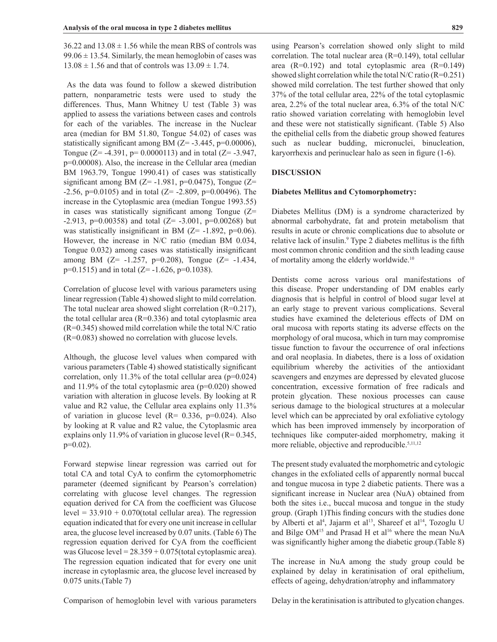$36.22$  and  $13.08 \pm 1.56$  while the mean RBS of controls was  $99.06 \pm 13.54$ . Similarly, the mean hemoglobin of cases was  $13.08 \pm 1.56$  and that of controls was  $13.09 \pm 1.74$ .

 As the data was found to follow a skewed distribution pattern, nonparametric tests were used to study the differences. Thus, Mann Whitney U test (Table 3) was applied to assess the variations between cases and controls for each of the variables. The increase in the Nuclear area (median for BM 51.80, Tongue 54.02) of cases was statistically significant among BM  $(Z= -3.445, p=0.00006)$ , Tongue ( $Z = -4.391$ ,  $p = 0.0000113$ ) and in total ( $Z = -3.947$ , p=0.00008). Also, the increase in the Cellular area (median BM 1963.79, Tongue 1990.41) of cases was statistically significant among BM ( $Z$ = -1.981, p=0.0475), Tongue ( $Z$ =  $-2.56$ , p=0.0105) and in total (Z=  $-2.809$ , p=0.00496). The increase in the Cytoplasmic area (median Tongue 1993.55) in cases was statistically significant among Tongue  $(Z=$ -2.913, p=0.00358) and total  $(Z= -3.001, p=0.00268)$  but was statistically insignificant in BM  $(Z= -1.892, p=0.06)$ . However, the increase in N/C ratio (median BM 0.034, Tongue 0.032) among cases was statistically insignificant among BM  $(Z= -1.257, p=0.208)$ , Tongue  $(Z= -1.434,$  $p=0.1515$ ) and in total (Z= -1.626,  $p=0.1038$ ).

Correlation of glucose level with various parameters using linear regression (Table 4) showed slight to mild correlation. The total nuclear area showed slight correlation (R=0.217), the total cellular area  $(R=0.336)$  and total cytoplasmic area (R=0.345) showed mild correlation while the total N/C ratio (R=0.083) showed no correlation with glucose levels.

Although, the glucose level values when compared with various parameters (Table 4) showed statistically significant correlation, only 11.3% of the total cellular area  $(p=0.024)$ and 11.9% of the total cytoplasmic area (p=0.020) showed variation with alteration in glucose levels. By looking at R value and R2 value, the Cellular area explains only 11.3% of variation in glucose level  $(R= 0.336, p=0.024)$ . Also by looking at R value and R2 value, the Cytoplasmic area explains only 11.9% of variation in glucose level  $(R= 0.345,$  $p=0.02$ ).

Forward stepwise linear regression was carried out for total CA and total CyA to conirm the cytomorphometric parameter (deemed significant by Pearson's correlation) correlating with glucose level changes. The regression equation derived for CA from the coeficient was Glucose level =  $33.910 + 0.070$ (total cellular area). The regression equation indicated that for every one unit increase in cellular area, the glucose level increased by 0.07 units. (Table 6) The regression equation derived for CyA from the coeficient was Glucose level =  $28.359 + 0.075$  (total cytoplasmic area). The regression equation indicated that for every one unit increase in cytoplasmic area, the glucose level increased by 0.075 units.(Table 7)

using Pearson's correlation showed only slight to mild correlation. The total nuclear area  $(R=0.149)$ , total cellular area  $(R=0.192)$  and total cytoplasmic area  $(R=0.149)$ showed slight correlation while the total N/C ratio  $(R=0.251)$ showed mild correlation. The test further showed that only 37% of the total cellular area, 22% of the total cytoplasmic area, 2.2% of the total nuclear area, 6.3% of the total N/C

ratio showed variation correlating with hemoglobin level and these were not statistically significant. (Table 5) Also the epithelial cells from the diabetic group showed features such as nuclear budding, micronuclei, binucleation, karyorrhexis and perinuclear halo as seen in figure (1-6).

#### **DISCUSSION**

#### **Diabetes Mellitus and Cytomorphometry:**

Diabetes Mellitus (DM) is a syndrome characterized by abnormal carbohydrate, fat and protein metabolism that results in acute or chronic complications due to absolute or relative lack of insulin.<sup>9</sup> Type 2 diabetes mellitus is the fifth most common chronic condition and the sixth leading cause of mortality among the elderly worldwide.<sup>10</sup>

Dentists come across various oral manifestations of this disease. Proper understanding of DM enables early diagnosis that is helpful in control of blood sugar level at an early stage to prevent various complications. Several studies have examined the deleterious effects of DM on oral mucosa with reports stating its adverse effects on the morphology of oral mucosa, which in turn may compromise tissue function to favour the occurrence of oral infections and oral neoplasia. In diabetes, there is a loss of oxidation equilibrium whereby the activities of the antioxidant scavengers and enzymes are depressed by elevated glucose concentration, excessive formation of free radicals and protein glycation. These noxious processes can cause serious damage to the biological structures at a molecular level which can be appreciated by oral exfoliative cytology which has been improved immensely by incorporation of techniques like computer-aided morphometry, making it more reliable, objective and reproducible.<sup>5,11,12</sup>

The present study evaluated the morphometric and cytologic changes in the exfoliated cells of apparently normal buccal and tongue mucosa in type 2 diabetic patients. There was a significant increase in Nuclear area (NuA) obtained from both the sites i.e., buccal mucosa and tongue in the study group. (Graph 1)This finding concurs with the studies done by Alberti et al<sup>4</sup>, Jajarm et al<sup>13</sup>, Shareef et al<sup>14</sup>, Tozoglu U and Bilge  $OM^{15}$  and Prasad H et al<sup>16</sup> where the mean NuA was significantly higher among the diabetic group.(Table 8)

The increase in NuA among the study group could be explained by delay in keratinisation of oral epithelium, effects of ageing, dehydration/atrophy and inlammatory

Comparison of hemoglobin level with various parameters

Delay in the keratinisation is attributed to glycation changes.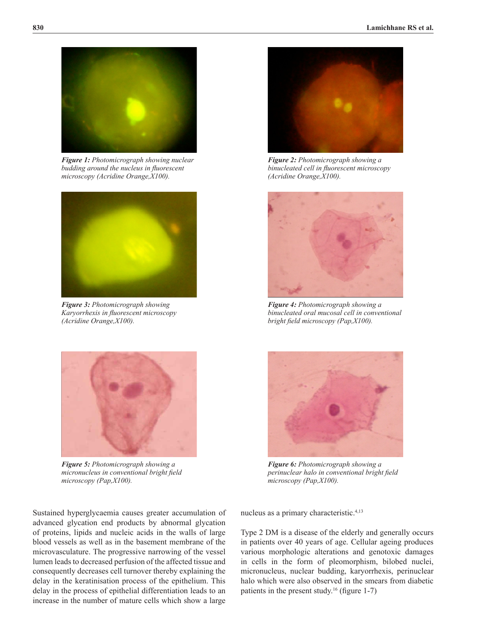

*Figure 1: Photomicrograph showing nuclear budding around the nucleus in luorescent microscopy (Acridine Orange,X100).*



*Figure 3: Photomicrograph showing Karyorrhexis in luorescent microscopy (Acridine Orange,X100).*



*Figure 5: Photomicrograph showing a micronucleus in conventional bright ield microscopy (Pap,X100).*

*Figure 2: Photomicrograph showing a binucleated cell in luorescent microscopy (Acridine Orange,X100).*



*Figure 4: Photomicrograph showing a binucleated oral mucosal cell in conventional bright ield microscopy (Pap,X100).*



*Figure 6: Photomicrograph showing a perinuclear halo in conventional bright ield microscopy (Pap,X100).*

nucleus as a primary characteristic.4,13

Type 2 DM is a disease of the elderly and generally occurs in patients over 40 years of age. Cellular ageing produces various morphologic alterations and genotoxic damages in cells in the form of pleomorphism, bilobed nuclei, micronucleus, nuclear budding, karyorrhexis, perinuclear halo which were also observed in the smears from diabetic patients in the present study.<sup>16</sup> (figure 1-7)

Sustained hyperglycaemia causes greater accumulation of advanced glycation end products by abnormal glycation of proteins, lipids and nucleic acids in the walls of large blood vessels as well as in the basement membrane of the microvasculature. The progressive narrowing of the vessel lumen leads to decreased perfusion of the affected tissue and consequently decreases cell turnover thereby explaining the delay in the keratinisation process of the epithelium. This delay in the process of epithelial differentiation leads to an increase in the number of mature cells which show a large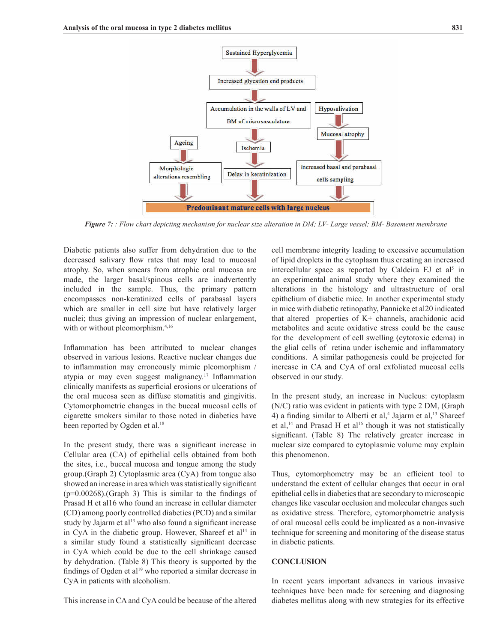

*Figure 7: : Flow chart depicting mechanism for nuclear size alteration in DM; LV- Large vessel; BM- Basement membrane*

Diabetic patients also suffer from dehydration due to the decreased salivary flow rates that may lead to mucosal atrophy. So, when smears from atrophic oral mucosa are made, the larger basal/spinous cells are inadvertently included in the sample. Thus, the primary pattern encompasses non-keratinized cells of parabasal layers which are smaller in cell size but have relatively larger nuclei; thus giving an impression of nuclear enlargement, with or without pleomorphism.<sup>4,16</sup>

Inflammation has been attributed to nuclear changes observed in various lesions. Reactive nuclear changes due to inflammation may erroneously mimic pleomorphism / atypia or may even suggest malignancy.<sup>17</sup> Inflammation clinically manifests as supericial erosions or ulcerations of the oral mucosa seen as diffuse stomatitis and gingivitis. Cytomorphometric changes in the buccal mucosal cells of cigarette smokers similar to those noted in diabetics have been reported by Ogden et al.<sup>18</sup>

In the present study, there was a significant increase in Cellular area (CA) of epithelial cells obtained from both the sites, i.e., buccal mucosa and tongue among the study group.(Graph 2) Cytoplasmic area (CyA) from tongue also showed an increase in area which was statistically significant  $(p=0.00268)$ . (Graph 3) This is similar to the findings of Prasad H et al16 who found an increase in cellular diameter (CD) among poorly controlled diabetics (PCD) and a similar study by Jajarm et al $^{13}$  who also found a significant increase in CyA in the diabetic group. However, Shareef et  $al<sup>14</sup>$  in a similar study found a statistically significant decrease in CyA which could be due to the cell shrinkage caused by dehydration. (Table 8) This theory is supported by the findings of Ogden et al<sup>19</sup> who reported a similar decrease in CyA in patients with alcoholism.

This increase in CA and CyA could be because of the altered

cell membrane integrity leading to excessive accumulation of lipid droplets in the cytoplasm thus creating an increased intercellular space as reported by Caldeira EJ et  $al<sup>5</sup>$  in an experimental animal study where they examined the alterations in the histology and ultrastructure of oral epithelium of diabetic mice. In another experimental study in mice with diabetic retinopathy, Pannicke et al20 indicated that altered properties of K+ channels, arachidonic acid metabolites and acute oxidative stress could be the cause for the development of cell swelling (cytotoxic edema) in the glial cells of retina under ischemic and inlammatory conditions. A similar pathogenesis could be projected for increase in CA and CyA of oral exfoliated mucosal cells observed in our study.

In the present study, an increase in Nucleus: cytoplasm (N/C) ratio was evident in patients with type 2 DM, (Graph 4) a finding similar to Alberti et al,<sup>4</sup> Jajarm et al,<sup>13</sup> Shareef et al,<sup>14</sup> and Prasad H et al<sup>16</sup> though it was not statistically significant. (Table 8) The relatively greater increase in nuclear size compared to cytoplasmic volume may explain this phenomenon.

Thus, cytomorphometry may be an eficient tool to understand the extent of cellular changes that occur in oral epithelial cells in diabetics that are secondary to microscopic changes like vascular occlusion and molecular changes such as oxidative stress. Therefore, cytomorphometric analysis of oral mucosal cells could be implicated as a non-invasive technique for screening and monitoring of the disease status in diabetic patients.

## **CONCLUSION**

In recent years important advances in various invasive techniques have been made for screening and diagnosing diabetes mellitus along with new strategies for its effective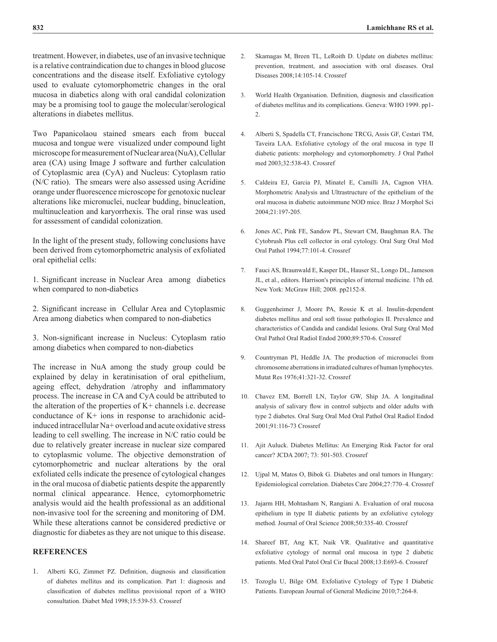treatment. However, in diabetes, use of an invasive technique is a relative contraindication due to changes in blood glucose concentrations and the disease itself. Exfoliative cytology used to evaluate cytomorphometric changes in the oral mucosa in diabetics along with oral candidal colonization may be a promising tool to gauge the molecular/serological alterations in diabetes mellitus.

Two Papanicolaou stained smears each from buccal mucosa and tongue were visualized under compound light microscope for measurement of Nuclear area (NuA), Cellular area (CA) using Image J software and further calculation of Cytoplasmic area (CyA) and Nucleus: Cytoplasm ratio (N/C ratio). The smears were also assessed using Acridine orange under fluorescence microscope for genotoxic nuclear alterations like micronuclei, nuclear budding, binucleation, multinucleation and karyorrhexis. The oral rinse was used for assessment of candidal colonization.

In the light of the present study, following conclusions have been derived from cytomorphometric analysis of exfoliated oral epithelial cells:

1. Significant increase in Nuclear Area among diabetics when compared to non-diabetics

2. Significant increase in Cellular Area and Cytoplasmic Area among diabetics when compared to non-diabetics

3. Non-significant increase in Nucleus: Cytoplasm ratio among diabetics when compared to non-diabetics

The increase in NuA among the study group could be explained by delay in keratinisation of oral epithelium, ageing effect, dehydration /atrophy and inlammatory process. The increase in CA and CyA could be attributed to the alteration of the properties of K+ channels i.e. decrease conductance of K+ ions in response to arachidonic acidinduced intracellular Na+ overload and acute oxidative stress leading to cell swelling. The increase in N/C ratio could be due to relatively greater increase in nuclear size compared to cytoplasmic volume. The objective demonstration of cytomorphometric and nuclear alterations by the oral exfoliated cells indicate the presence of cytological changes in the oral mucosa of diabetic patients despite the apparently normal clinical appearance. Hence, cytomorphometric analysis would aid the health professional as an additional non-invasive tool for the screening and monitoring of DM. While these alterations cannot be considered predictive or diagnostic for diabetes as they are not unique to this disease.

## **REFERENCES**

1. Alberti KG, Zimmet PZ. Definition, diagnosis and classification of diabetes mellitus and its complication. Part 1: diagnosis and classiication of diabetes mellitus provisional report of a WHO consultation. Diabet Med 1998;15:539-53. [Crossref](http://dx.doi.org/10.1002/(SICI)1096-9136(199807)15:7<539::AID-DIA668>3.0.CO;2-S)

- 2. Skamagas M, Breen TL, LeRoith D. Update on diabetes mellitus: prevention, treatment, and association with oral diseases. Oral Diseases 2008;14:105-14. [Crossref](http://dx.doi.org/10.1111/j.1601-0825.2007.01425.x)
- 3. World Health Organisation. Definition, diagnosis and classification of diabetes mellitus and its complications. Geneva: WHO 1999. pp1- 2.
- 4. Alberti S, Spadella CT, Francischone TRCG, Assis GF, Cestari TM, Taveira LAA. Exfoliative cytology of the oral mucosa in type II diabetic patients: morphology and cytomorphometry. J Oral Pathol med 2003;32:538-43. [Crossref](http://dx.doi.org/10.1034/j.1600-0714.2003.00162.x)
- 5. Caldeira EJ, Garcia PJ, Minatel E, Camilli JA, Cagnon VHA. Morphometric Analysis and Ultrastructure of the epithelium of the oral mucosa in diabetic autoimmune NOD mice. Braz J Morphol Sci 2004;21:197-205.
- 6. Jones AC, Pink FE, Sandow PL, Stewart CM, Baughman RA. The Cytobrush Plus cell collector in oral cytology. Oral Surg Oral Med Oral Pathol 1994;77:101-4. [Crossref](http://dx.doi.org/10.1016/S0030-4220(06)80117-9)
- 7. Fauci AS, Braunwald E, Kasper DL, Hauser SL, Longo DL, Jameson JL, et al., editors. Harrison's principles of internal medicine. 17th ed. New York: McGraw Hill; 2008. pp2152-8.
- 8. Guggenheimer J, Moore PA, Rossie K et al. Insulin-dependent diabetes mellitus and oral soft tissue pathologies II. Prevalence and characteristics of Candida and candidal lesions. Oral Surg Oral Med Oral Pathol Oral Radiol Endod 2000;89:570-6. [Crossref](http://dx.doi.org/10.1067/moe.2000.104477)
- 9. Countryman PI, Heddle JA. The production of micronuclei from chromosome aberrations in irradiated cultures of human lymphocytes. Mutat Res 1976;41:321-32. [Crossref](http://dx.doi.org/10.1016/0027-5107(76)90105-6)
- 10. Chavez EM, Borrell LN, Taylor GW, Ship JA. A longitudinal analysis of salivary flow in control subjects and older adults with type 2 diabetes. Oral Surg Oral Med Oral Pathol Oral Radiol Endod 2001;91:116-73 [Crossref](http://dx.doi.org/10.1067/moe.2001.112054)
- 11. Ajit Auluck. Diabetes Mellitus: An Emerging Risk Factor for oral cancer? JCDA 2007; 73: 501-503. Crossref
- 12. Ujpal M, Matos O, Bibok G. Diabetes and oral tumors in Hungary: Epidemiological correlation. Diabetes Care 2004;27:770–4. [Crossref](http://dx.doi.org/10.2337/diacare.27.3.770)
- 13. Jajarm HH, Mohtasham N, Rangiani A. Evaluation of oral mucosa epithelium in type II diabetic patients by an exfoliative cytology method. Journal of Oral Science 2008;50:335-40. [Crossref](http://dx.doi.org/10.2334/josnusd.50.335)
- 14. Shareef BT, Ang KT, Naik VR. Qualitative and quantitative exfoliative cytology of normal oral mucosa in type 2 diabetic patients. Med Oral Patol Oral Cir Bucal 2008;13:E693-6. Crossref
- 15. Tozoglu U, Bilge OM. Exfoliative Cytology of Type I Diabetic Patients. European Journal of General Medicine 2010;7:264-8.